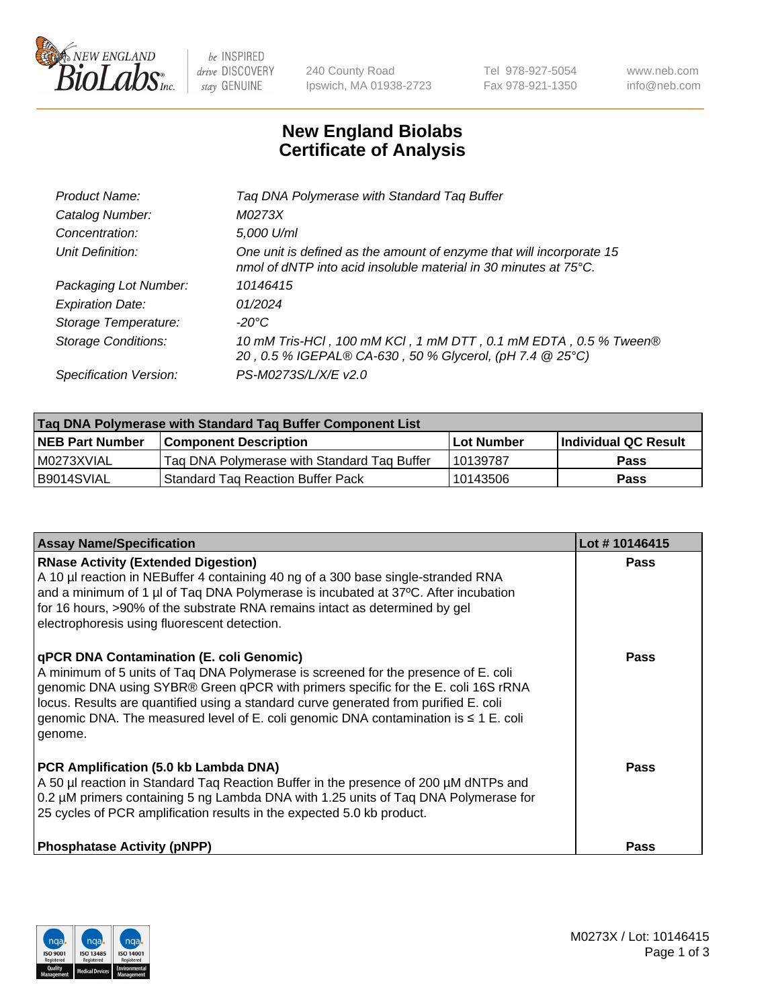

be INSPIRED drive DISCOVERY stay GENUINE

240 County Road Ipswich, MA 01938-2723 Tel 978-927-5054 Fax 978-921-1350 www.neb.com info@neb.com

## **New England Biolabs Certificate of Analysis**

| Tag DNA Polymerase with Standard Tag Buffer                                                                                              |
|------------------------------------------------------------------------------------------------------------------------------------------|
| M0273X                                                                                                                                   |
| 5,000 U/ml                                                                                                                               |
| One unit is defined as the amount of enzyme that will incorporate 15<br>nmol of dNTP into acid insoluble material in 30 minutes at 75°C. |
| 10146415                                                                                                                                 |
| 01/2024                                                                                                                                  |
| $-20^{\circ}$ C                                                                                                                          |
| 10 mM Tris-HCl, 100 mM KCl, 1 mM DTT, 0.1 mM EDTA, 0.5 % Tween®<br>20, 0.5 % IGEPAL® CA-630, 50 % Glycerol, (pH 7.4 @ 25°C)              |
| PS-M0273S/L/X/E v2.0                                                                                                                     |
|                                                                                                                                          |

| Tag DNA Polymerase with Standard Tag Buffer Component List |                                             |                   |                      |  |  |
|------------------------------------------------------------|---------------------------------------------|-------------------|----------------------|--|--|
| <b>NEB Part Number</b>                                     | Component Description_                      | <b>Lot Number</b> | Individual QC Result |  |  |
| M0273XVIAL                                                 | Tag DNA Polymerase with Standard Tag Buffer | 10139787          | Pass                 |  |  |
| B9014SVIAL                                                 | <b>Standard Tag Reaction Buffer Pack</b>    | 10143506          | <b>Pass</b>          |  |  |

| <b>Assay Name/Specification</b>                                                                                                                                                                                                                                                                                                                                                                               | Lot #10146415 |
|---------------------------------------------------------------------------------------------------------------------------------------------------------------------------------------------------------------------------------------------------------------------------------------------------------------------------------------------------------------------------------------------------------------|---------------|
| <b>RNase Activity (Extended Digestion)</b><br>A 10 µl reaction in NEBuffer 4 containing 40 ng of a 300 base single-stranded RNA<br>and a minimum of 1 µl of Taq DNA Polymerase is incubated at 37°C. After incubation<br>for 16 hours, >90% of the substrate RNA remains intact as determined by gel<br>electrophoresis using fluorescent detection.                                                          | Pass          |
| qPCR DNA Contamination (E. coli Genomic)<br>A minimum of 5 units of Taq DNA Polymerase is screened for the presence of E. coli<br>genomic DNA using SYBR® Green qPCR with primers specific for the E. coli 16S rRNA<br>locus. Results are quantified using a standard curve generated from purified E. coli<br>genomic DNA. The measured level of E. coli genomic DNA contamination is ≤ 1 E. coli<br>genome. | Pass          |
| PCR Amplification (5.0 kb Lambda DNA)<br>A 50 µl reaction in Standard Taq Reaction Buffer in the presence of 200 µM dNTPs and<br>0.2 µM primers containing 5 ng Lambda DNA with 1.25 units of Tag DNA Polymerase for<br>25 cycles of PCR amplification results in the expected 5.0 kb product.                                                                                                                | <b>Pass</b>   |
| <b>Phosphatase Activity (pNPP)</b>                                                                                                                                                                                                                                                                                                                                                                            | Pass          |

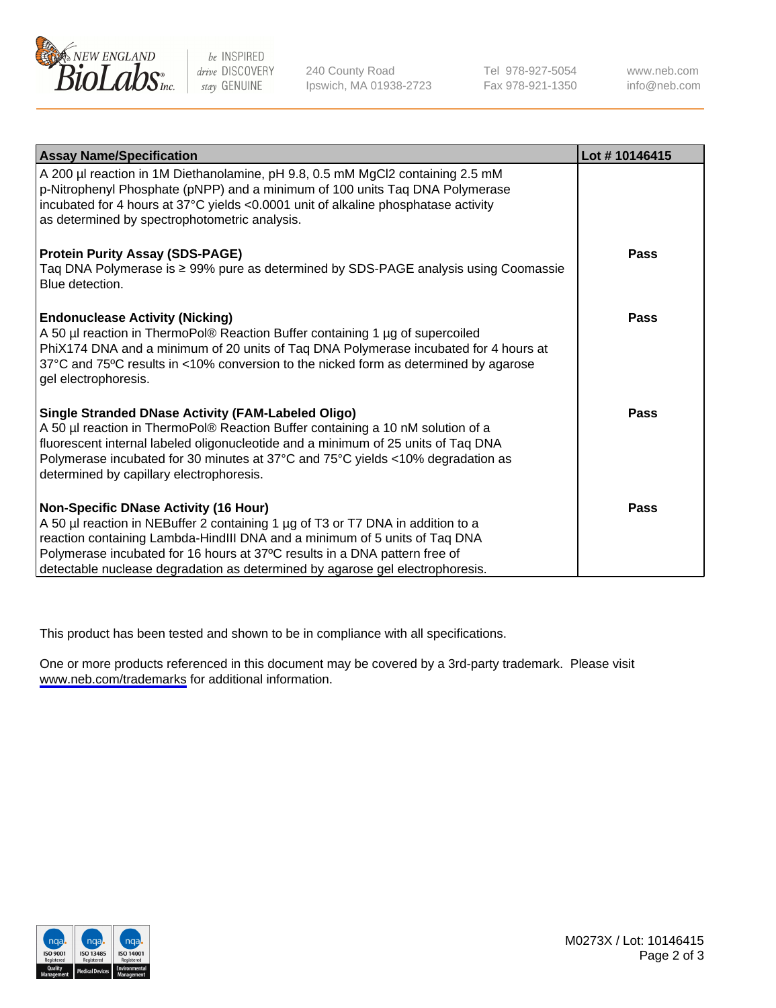

be INSPIRED drive DISCOVERY stay GENUINE

240 County Road Ipswich, MA 01938-2723 Tel 978-927-5054 Fax 978-921-1350

www.neb.com info@neb.com

| <b>Assay Name/Specification</b>                                                                                                                                                                                                                                                                                                                                              | Lot #10146415 |
|------------------------------------------------------------------------------------------------------------------------------------------------------------------------------------------------------------------------------------------------------------------------------------------------------------------------------------------------------------------------------|---------------|
| A 200 µl reaction in 1M Diethanolamine, pH 9.8, 0.5 mM MgCl2 containing 2.5 mM<br>p-Nitrophenyl Phosphate (pNPP) and a minimum of 100 units Taq DNA Polymerase<br>incubated for 4 hours at 37°C yields <0.0001 unit of alkaline phosphatase activity<br>as determined by spectrophotometric analysis.                                                                        |               |
| <b>Protein Purity Assay (SDS-PAGE)</b><br>Taq DNA Polymerase is ≥ 99% pure as determined by SDS-PAGE analysis using Coomassie<br>Blue detection.                                                                                                                                                                                                                             | <b>Pass</b>   |
| <b>Endonuclease Activity (Nicking)</b><br>A 50 µl reaction in ThermoPol® Reaction Buffer containing 1 µg of supercoiled<br>PhiX174 DNA and a minimum of 20 units of Taq DNA Polymerase incubated for 4 hours at<br>37°C and 75°C results in <10% conversion to the nicked form as determined by agarose<br>gel electrophoresis.                                              | <b>Pass</b>   |
| <b>Single Stranded DNase Activity (FAM-Labeled Oligo)</b><br>A 50 µl reaction in ThermoPol® Reaction Buffer containing a 10 nM solution of a<br>fluorescent internal labeled oligonucleotide and a minimum of 25 units of Taq DNA<br>Polymerase incubated for 30 minutes at 37°C and 75°C yields <10% degradation as<br>determined by capillary electrophoresis.             | Pass          |
| <b>Non-Specific DNase Activity (16 Hour)</b><br>A 50 µl reaction in NEBuffer 2 containing 1 µg of T3 or T7 DNA in addition to a<br>reaction containing Lambda-HindIII DNA and a minimum of 5 units of Taq DNA<br>Polymerase incubated for 16 hours at 37°C results in a DNA pattern free of<br>detectable nuclease degradation as determined by agarose gel electrophoresis. | <b>Pass</b>   |

This product has been tested and shown to be in compliance with all specifications.

One or more products referenced in this document may be covered by a 3rd-party trademark. Please visit <www.neb.com/trademarks>for additional information.